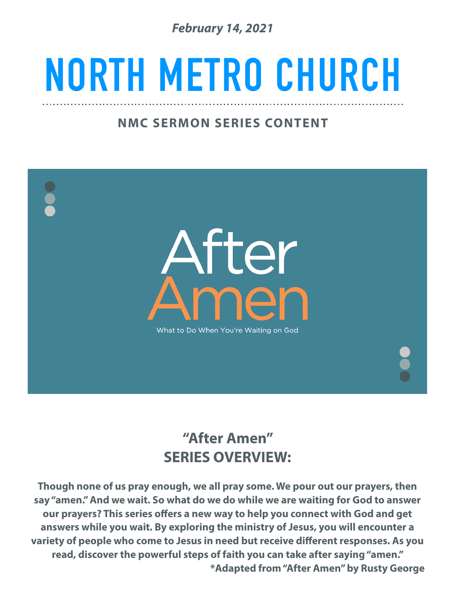*February 14, 2021* 

## **NORTH METRO CHURCH**

## **NMC SERMON SERIES CONTENT**

After What to Do When You're Waiting on God

## **"After Amen" SERIES OVERVIEW:**

**Though none of us pray enough, we all pray some. We pour out our prayers, then say "amen." And we wait. So what do we do while we are waiting for God to answer our prayers? This series offers a new way to help you connect with God and get answers while you wait. By exploring the ministry of Jesus, you will encounter a variety of people who come to Jesus in need but receive different responses. As you read, discover the powerful steps of faith you can take after saying "amen." \*Adapted from "After Amen" by Rusty George**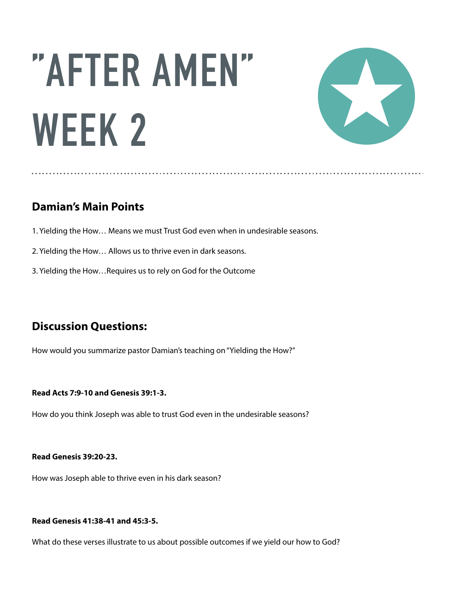# **"AFTER AMEN" WEEK 2**



## **Damian's Main Points**

- 1. Yielding the How… Means we must Trust God even when in undesirable seasons.
- 2. Yielding the How… Allows us to thrive even in dark seasons.
- 3. Yielding the How…Requires us to rely on God for the Outcome

### **Discussion Questions:**

How would you summarize pastor Damian's teaching on "Yielding the How?"

#### **Read Acts 7:9-10 and Genesis 39:1-3.**

How do you think Joseph was able to trust God even in the undesirable seasons?

#### **Read Genesis 39:20-23.**

How was Joseph able to thrive even in his dark season?

#### **Read Genesis 41:38-41 and 45:3-5.**

What do these verses illustrate to us about possible outcomes if we yield our how to God?